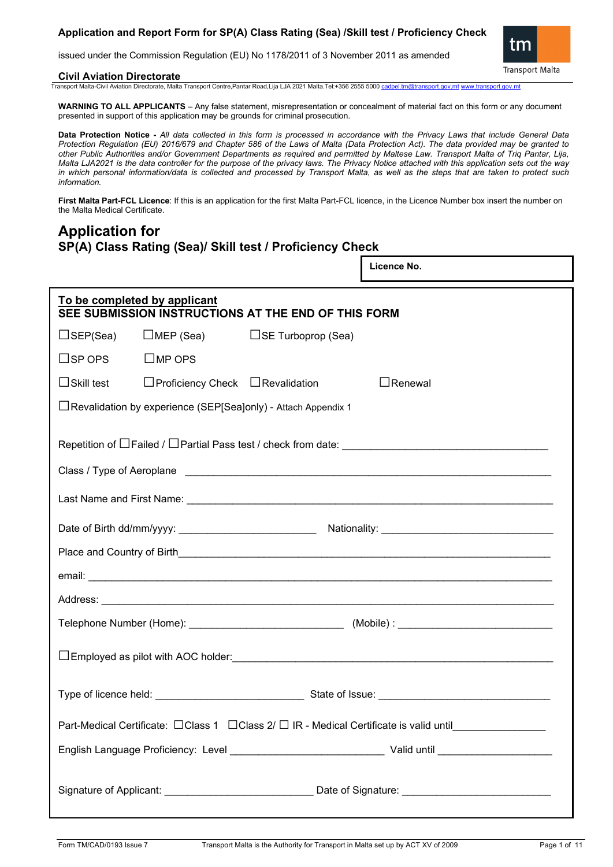## **Application and Report Form for SP(A) Class Rating (Sea) /Skill test / Proficiency Check**

issued under the Commission Regulation (EU) No 1178/2011 of 3 November 2011 as amended

#### **Civil Aviation Directorate**

Transport Malta-Civil Aviation Directorate, Malta Transport Centre,Pantar Road,Lija LJA 2021 Malta.Tel:+356 2555 5000 [cadpel.tm@transport.gov.mt](mailto:cadpel.tm@transport.gov.mt) www.tran

**WARNING TO ALL APPLICANTS** – Any false statement, misrepresentation or concealment of material fact on this form or any document presented in support of this application may be grounds for criminal prosecution.

**Data Protection Notice -** *All data collected in this form is processed in accordance with the Privacy Laws that include General Data Protection Regulation (EU) 2016/679 and Chapter 586 of the Laws of Malta (Data Protection Act). The data provided may be granted to other Public Authorities and/or Government Departments as required and permitted by Maltese Law. Transport Malta of Triq Pantar, Lija, Malta LJA2021 is the data controller for the purpose of the privacy laws. The Privacy Notice attached with this application sets out the way in which personal information/data is collected and processed by Transport Malta, as well as the steps that are taken to protect such information.*

**First Malta Part-FCL Licence**: If this is an application for the first Malta Part-FCL licence, in the Licence Number box insert the number on the Malta Medical Certificate.

# **Application for SP(A) Class Rating (Sea)/ Skill test / Proficiency Check**

|                   |                                                                                     |                                                                 |  | Licence No.                                                                                         |  |  |  |  |
|-------------------|-------------------------------------------------------------------------------------|-----------------------------------------------------------------|--|-----------------------------------------------------------------------------------------------------|--|--|--|--|
|                   | To be completed by applicant<br>SEE SUBMISSION INSTRUCTIONS AT THE END OF THIS FORM |                                                                 |  |                                                                                                     |  |  |  |  |
|                   | □SEP(Sea)   □MEP (Sea)                                                              | $\Box$ SE Turboprop (Sea)                                       |  |                                                                                                     |  |  |  |  |
| $\square$ SP OPS  | $\square$ MP OPS                                                                    |                                                                 |  |                                                                                                     |  |  |  |  |
| $\Box$ Skill test | $\Box$ Proficiency Check $\Box$ Revalidation                                        |                                                                 |  | $\Box$ Renewal                                                                                      |  |  |  |  |
|                   |                                                                                     | □ Revalidation by experience (SEP[Sea]only) - Attach Appendix 1 |  |                                                                                                     |  |  |  |  |
|                   |                                                                                     |                                                                 |  |                                                                                                     |  |  |  |  |
|                   |                                                                                     |                                                                 |  |                                                                                                     |  |  |  |  |
|                   |                                                                                     |                                                                 |  |                                                                                                     |  |  |  |  |
|                   |                                                                                     |                                                                 |  |                                                                                                     |  |  |  |  |
|                   |                                                                                     |                                                                 |  |                                                                                                     |  |  |  |  |
|                   |                                                                                     |                                                                 |  |                                                                                                     |  |  |  |  |
|                   |                                                                                     |                                                                 |  |                                                                                                     |  |  |  |  |
|                   |                                                                                     |                                                                 |  |                                                                                                     |  |  |  |  |
|                   |                                                                                     |                                                                 |  |                                                                                                     |  |  |  |  |
|                   |                                                                                     |                                                                 |  | Part-Medical Certificate: □Class 1 □Class 2/□ IR - Medical Certificate is valid until______________ |  |  |  |  |
|                   |                                                                                     |                                                                 |  |                                                                                                     |  |  |  |  |
|                   |                                                                                     |                                                                 |  |                                                                                                     |  |  |  |  |

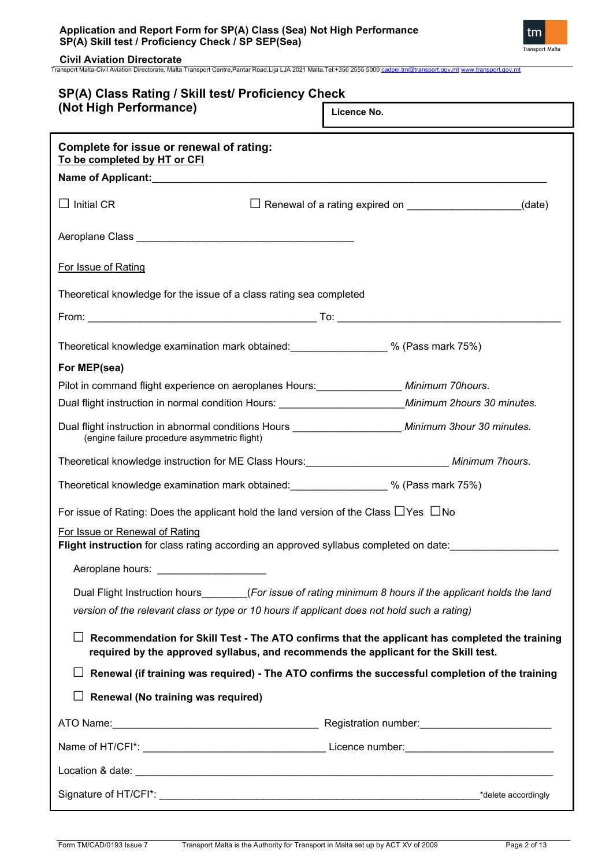| Application and Report Form for SP(A) Class (Sea) Not High Performance |  |
|------------------------------------------------------------------------|--|
| SP(A) Skill test / Proficiency Check / SP SEP(Sea)                     |  |



**Civil Aviation Directorate** Transport Malta-Civil Aviation Directorate, Malta Transport Centre,Pantar Road,Lija LJA 2021 Malta.Tel:+356 2555 5000 [cadpel.tm@transport.gov.mt](mailto:cadpel.tm@transport.gov.mt) [www.transport.gov.mt](http://www.transport.gov.mt/)

| SP(A) Class Rating / Skill test/ Proficiency Check                                                                                                        |                                                                                                 |
|-----------------------------------------------------------------------------------------------------------------------------------------------------------|-------------------------------------------------------------------------------------------------|
| (Not High Performance)                                                                                                                                    | Licence No.                                                                                     |
| Complete for issue or renewal of rating:<br>To be completed by HT or CFI                                                                                  |                                                                                                 |
|                                                                                                                                                           |                                                                                                 |
| $\Box$ Initial CR                                                                                                                                         | Renewal of a rating expired on ________________________(date)                                   |
|                                                                                                                                                           |                                                                                                 |
| For Issue of Rating                                                                                                                                       |                                                                                                 |
| Theoretical knowledge for the issue of a class rating sea completed                                                                                       |                                                                                                 |
|                                                                                                                                                           |                                                                                                 |
| Theoretical knowledge examination mark obtained: 30 % (Pass mark 75%)                                                                                     |                                                                                                 |
| For MEP(sea)                                                                                                                                              |                                                                                                 |
| Pilot in command flight experience on aeroplanes Hours: _______________ Minimum 70hours.                                                                  |                                                                                                 |
| Dual flight instruction in normal condition Hours: _____________________________Minimum 2hours 30 minutes.                                                |                                                                                                 |
| Dual flight instruction in abnormal conditions Hours ___________________________Minimum 3hour 30 minutes.<br>(engine failure procedure asymmetric flight) |                                                                                                 |
| Theoretical knowledge instruction for ME Class Hours:____________________________ Minimum 7hours.                                                         |                                                                                                 |
| Theoretical knowledge examination mark obtained: _________________ % (Pass mark 75%)                                                                      |                                                                                                 |
| For issue of Rating: Does the applicant hold the land version of the Class $\Box$ Yes $\Box$ No                                                           |                                                                                                 |
| For Issue or Renewal of Rating<br>Flight instruction for class rating according an approved syllabus completed on date:                                   |                                                                                                 |
|                                                                                                                                                           |                                                                                                 |
| Dual Flight Instruction hours (For issue of rating minimum 8 hours if the applicant holds the land                                                        |                                                                                                 |
| version of the relevant class or type or 10 hours if applicant does not hold such a rating)                                                               |                                                                                                 |
| required by the approved syllabus, and recommends the applicant for the Skill test.                                                                       | Recommendation for Skill Test - The ATO confirms that the applicant has completed the training  |
|                                                                                                                                                           | Renewal (if training was required) - The ATO confirms the successful completion of the training |
| Renewal (No training was required)                                                                                                                        |                                                                                                 |
|                                                                                                                                                           |                                                                                                 |
|                                                                                                                                                           |                                                                                                 |
|                                                                                                                                                           |                                                                                                 |
|                                                                                                                                                           |                                                                                                 |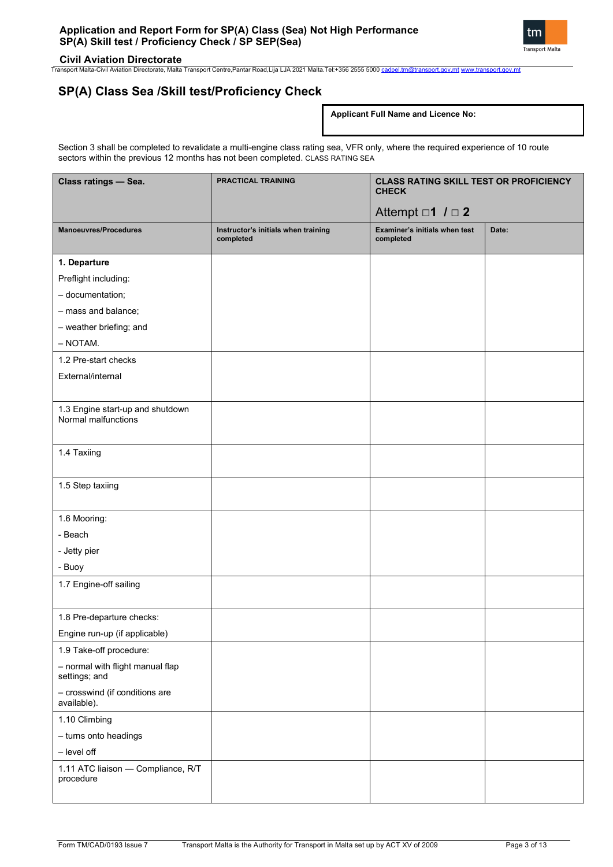

Transport Malta-Civil Aviation Directorate, Malta Transport Centre,Pantar Road,Lija LJA 2021 Malta.Tel:+356 2555 5000 [cadpel.tm@transport.gov.mt](mailto:cadpel.tm@transport.gov.mt) [www.transport.gov.mt](http://www.transport.gov.mt/)

## **SP(A) Class Sea /Skill test/Proficiency Check**

### **Applicant Full Name and Licence No:**

Section 3 shall be completed to revalidate a multi-engine class rating sea, VFR only, where the required experience of 10 route sectors within the previous 12 months has not been completed. CLASS RATING SEA

| Class ratings - Sea.                                    | <b>PRACTICAL TRAINING</b>                        | <b>CLASS RATING SKILL TEST OR PROFICIENCY</b><br><b>CHECK</b> |       |
|---------------------------------------------------------|--------------------------------------------------|---------------------------------------------------------------|-------|
|                                                         |                                                  | Attempt $\Box$ 1 $I \Box$ 2                                   |       |
| <b>Manoeuvres/Procedures</b>                            | Instructor's initials when training<br>completed | Examiner's initials when test<br>completed                    | Date: |
| 1. Departure                                            |                                                  |                                                               |       |
| Preflight including:                                    |                                                  |                                                               |       |
| - documentation;                                        |                                                  |                                                               |       |
| - mass and balance;                                     |                                                  |                                                               |       |
| - weather briefing; and                                 |                                                  |                                                               |       |
| $-$ NOTAM.                                              |                                                  |                                                               |       |
| 1.2 Pre-start checks                                    |                                                  |                                                               |       |
| External/internal                                       |                                                  |                                                               |       |
| 1.3 Engine start-up and shutdown<br>Normal malfunctions |                                                  |                                                               |       |
| 1.4 Taxiing                                             |                                                  |                                                               |       |
| 1.5 Step taxiing                                        |                                                  |                                                               |       |
| 1.6 Mooring:                                            |                                                  |                                                               |       |
| - Beach                                                 |                                                  |                                                               |       |
| - Jetty pier                                            |                                                  |                                                               |       |
| - Buoy                                                  |                                                  |                                                               |       |
| 1.7 Engine-off sailing                                  |                                                  |                                                               |       |
| 1.8 Pre-departure checks:                               |                                                  |                                                               |       |
| Engine run-up (if applicable)                           |                                                  |                                                               |       |
| 1.9 Take-off procedure:                                 |                                                  |                                                               |       |
| - normal with flight manual flap<br>settings; and       |                                                  |                                                               |       |
| - crosswind (if conditions are<br>available).           |                                                  |                                                               |       |
| 1.10 Climbing                                           |                                                  |                                                               |       |
| - turns onto headings                                   |                                                  |                                                               |       |
| - level off                                             |                                                  |                                                               |       |
| 1.11 ATC liaison - Compliance, R/T<br>procedure         |                                                  |                                                               |       |
|                                                         |                                                  |                                                               |       |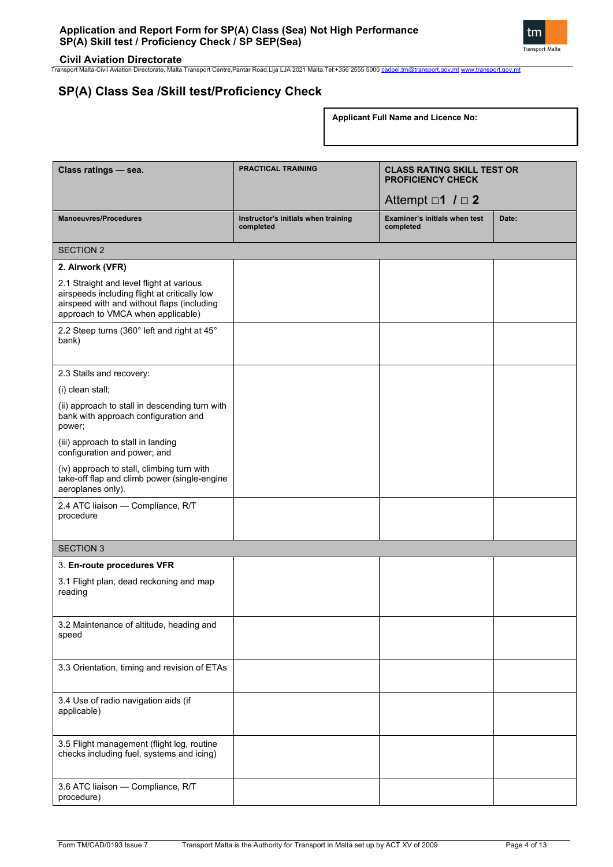

**Civil Aviation Directorate** Transport Malta-Civil Aviation Directorate, Malta Transport Centre,Pantar Road,Lija LJA 2021 Malta.Tel:+356 2555 5000 [cadpel.tm@transport.gov.mt](mailto:cadpel.tm@transport.gov.mt) [www.transport.gov.mt](http://www.transport.gov.mt/)

# **SP(A) Class Sea /Skill test/Proficiency Check**

**Applicant Full Name and Licence No:**

| Class ratings - sea.                                                                                                                                                        | <b>PRACTICAL TRAINING</b>                        | <b>CLASS RATING SKILL TEST OR</b><br><b>PROFICIENCY CHECK</b> |       |  |
|-----------------------------------------------------------------------------------------------------------------------------------------------------------------------------|--------------------------------------------------|---------------------------------------------------------------|-------|--|
|                                                                                                                                                                             |                                                  | Attempt $\Box$ 1 $\Box$ 2                                     |       |  |
| <b>Manoeuvres/Procedures</b>                                                                                                                                                | Instructor's initials when training<br>completed | Examiner's initials when test<br>completed                    | Date: |  |
| <b>SECTION 2</b>                                                                                                                                                            |                                                  |                                                               |       |  |
| 2. Airwork (VFR)                                                                                                                                                            |                                                  |                                                               |       |  |
| 2.1 Straight and level flight at various<br>airspeeds including flight at critically low<br>airspeed with and without flaps (including<br>approach to VMCA when applicable) |                                                  |                                                               |       |  |
| 2.2 Steep turns (360° left and right at 45°<br>bank)                                                                                                                        |                                                  |                                                               |       |  |
| 2.3 Stalls and recovery:                                                                                                                                                    |                                                  |                                                               |       |  |
| (i) clean stall;                                                                                                                                                            |                                                  |                                                               |       |  |
| (ii) approach to stall in descending turn with<br>bank with approach configuration and<br>power;                                                                            |                                                  |                                                               |       |  |
| (iii) approach to stall in landing<br>configuration and power; and                                                                                                          |                                                  |                                                               |       |  |
| (iv) approach to stall, climbing turn with<br>take-off flap and climb power (single-engine<br>aeroplanes only).                                                             |                                                  |                                                               |       |  |
| 2.4 ATC liaison - Compliance, R/T<br>procedure                                                                                                                              |                                                  |                                                               |       |  |
| <b>SECTION 3</b>                                                                                                                                                            |                                                  |                                                               |       |  |
| 3. En-route procedures VFR                                                                                                                                                  |                                                  |                                                               |       |  |
| 3.1 Flight plan, dead reckoning and map<br>reading                                                                                                                          |                                                  |                                                               |       |  |
| 3.2 Maintenance of altitude, heading and<br>speed                                                                                                                           |                                                  |                                                               |       |  |
| 3.3 Orientation, timing and revision of ETAs                                                                                                                                |                                                  |                                                               |       |  |
| 3.4 Use of radio navigation aids (if<br>applicable)                                                                                                                         |                                                  |                                                               |       |  |
| 3.5 Flight management (flight log, routine<br>checks including fuel, systems and icing)                                                                                     |                                                  |                                                               |       |  |
| 3.6 ATC liaison - Compliance, R/T<br>procedure)                                                                                                                             |                                                  |                                                               |       |  |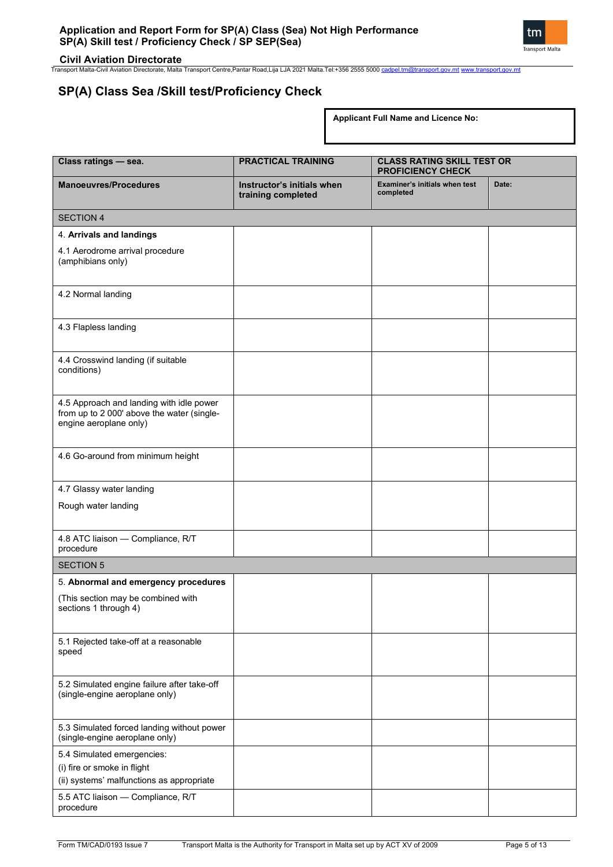

**Civil Aviation Directorate** Transport Malta-Civil Aviation Directorate, Malta Transport Centre,Pantar Road,Lija LJA 2021 Malta.Tel:+356 2555 5000 [cadpel.tm@transport.gov.mt](mailto:cadpel.tm@transport.gov.mt) [www.transport.gov.mt](http://www.transport.gov.mt/)

# **SP(A) Class Sea /Skill test/Proficiency Check**

**Applicant Full Name and Licence No:**

| Class ratings - sea.                                                                                             | <b>PRACTICAL TRAINING</b>                        | <b>CLASS RATING SKILL TEST OR</b><br><b>PROFICIENCY CHECK</b> |       |  |
|------------------------------------------------------------------------------------------------------------------|--------------------------------------------------|---------------------------------------------------------------|-------|--|
| <b>Manoeuvres/Procedures</b>                                                                                     | Instructor's initials when<br>training completed | <b>Examiner's initials when test</b><br>completed             | Date: |  |
| <b>SECTION 4</b>                                                                                                 |                                                  |                                                               |       |  |
| 4. Arrivals and landings                                                                                         |                                                  |                                                               |       |  |
| 4.1 Aerodrome arrival procedure<br>(amphibians only)                                                             |                                                  |                                                               |       |  |
| 4.2 Normal landing                                                                                               |                                                  |                                                               |       |  |
| 4.3 Flapless landing                                                                                             |                                                  |                                                               |       |  |
| 4.4 Crosswind landing (if suitable<br>conditions)                                                                |                                                  |                                                               |       |  |
| 4.5 Approach and landing with idle power<br>from up to 2 000' above the water (single-<br>engine aeroplane only) |                                                  |                                                               |       |  |
| 4.6 Go-around from minimum height                                                                                |                                                  |                                                               |       |  |
| 4.7 Glassy water landing                                                                                         |                                                  |                                                               |       |  |
| Rough water landing                                                                                              |                                                  |                                                               |       |  |
| 4.8 ATC liaison - Compliance, R/T<br>procedure                                                                   |                                                  |                                                               |       |  |
| <b>SECTION 5</b>                                                                                                 |                                                  |                                                               |       |  |
| 5. Abnormal and emergency procedures                                                                             |                                                  |                                                               |       |  |
| (This section may be combined with<br>sections 1 through 4)                                                      |                                                  |                                                               |       |  |
| 5.1 Rejected take-off at a reasonable<br>speed                                                                   |                                                  |                                                               |       |  |
| 5.2 Simulated engine failure after take-off<br>(single-engine aeroplane only)                                    |                                                  |                                                               |       |  |
| 5.3 Simulated forced landing without power<br>(single-engine aeroplane only)                                     |                                                  |                                                               |       |  |
| 5.4 Simulated emergencies:<br>(i) fire or smoke in flight<br>(ii) systems' malfunctions as appropriate           |                                                  |                                                               |       |  |
| 5.5 ATC liaison - Compliance, R/T<br>procedure                                                                   |                                                  |                                                               |       |  |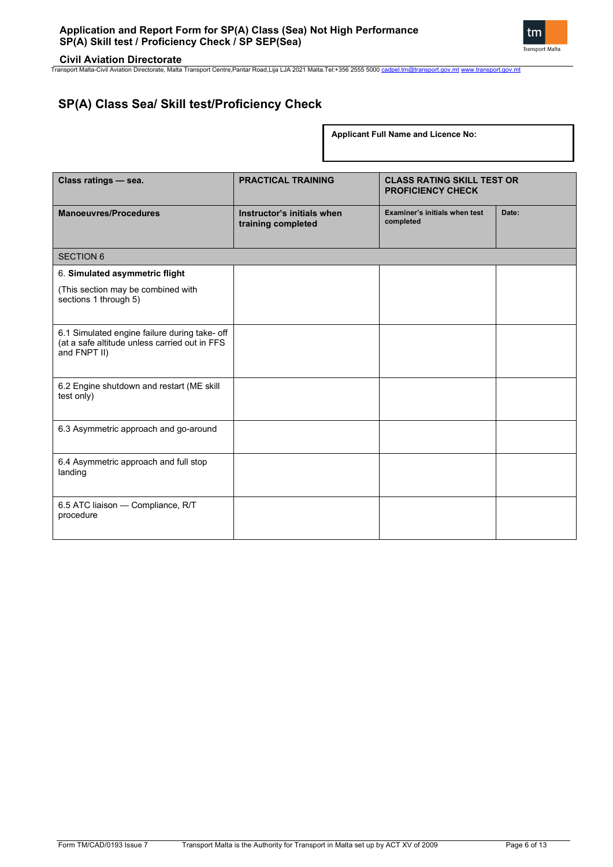

Transport Malta-Civil Aviation Directorate, Malta Transport Centre,Pantar Road,Lija LJA 2021 Malta.Tel:+356 2555 5000 [cadpel.tm@transport.gov.mt](mailto:cadpel.tm@transport.gov.mt) [www.transport.gov.mt](http://www.transport.gov.mt/)

# **SP(A) Class Sea/ Skill test/Proficiency Check**

**Applicant Full Name and Licence No:**

| Class ratings - sea.                                                                                           | <b>PRACTICAL TRAINING</b>                        | <b>CLASS RATING SKILL TEST OR</b><br><b>PROFICIENCY CHECK</b> |       |  |
|----------------------------------------------------------------------------------------------------------------|--------------------------------------------------|---------------------------------------------------------------|-------|--|
| <b>Manoeuvres/Procedures</b>                                                                                   | Instructor's initials when<br>training completed | Examiner's initials when test<br>completed                    | Date: |  |
| <b>SECTION 6</b>                                                                                               |                                                  |                                                               |       |  |
| 6. Simulated asymmetric flight                                                                                 |                                                  |                                                               |       |  |
| (This section may be combined with<br>sections 1 through 5)                                                    |                                                  |                                                               |       |  |
| 6.1 Simulated engine failure during take- off<br>(at a safe altitude unless carried out in FFS<br>and FNPT II) |                                                  |                                                               |       |  |
| 6.2 Engine shutdown and restart (ME skill<br>test only)                                                        |                                                  |                                                               |       |  |
| 6.3 Asymmetric approach and go-around                                                                          |                                                  |                                                               |       |  |
| 6.4 Asymmetric approach and full stop<br>landing                                                               |                                                  |                                                               |       |  |
| 6.5 ATC liaison - Compliance, R/T<br>procedure                                                                 |                                                  |                                                               |       |  |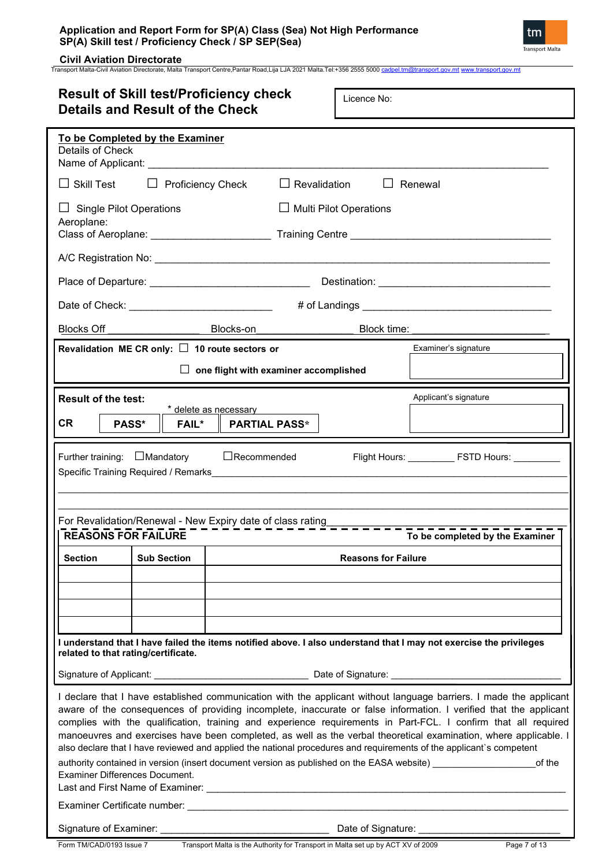## **Application and Report Form for SP(A) Class (Sea) Not High Performance SP(A) Skill test / Proficiency Check / SP SEP(Sea)**



**Civil Aviation Directorate** Transport Malta-Civil Aviation Directorate, Malta Transport Centre,Pantar Road,Lija LJA 2021 Malta.Tel:+356 2555 5000 [cadpel.tm@transport.gov.mt](mailto:cadpel.tm@transport.gov.mt) [www.transport.gov.mt](http://www.transport.gov.mt/)

| <b>Result of Skill test/Proficiency check</b><br>Licence No:<br><b>Details and Result of the Check</b> |                    |                                                                                                                                                                                                                                |                               |                                                                                                                                                                                                                                                                                                                                                                                                                                                                                                                                                                                                                                                                                                                        |  |  |
|--------------------------------------------------------------------------------------------------------|--------------------|--------------------------------------------------------------------------------------------------------------------------------------------------------------------------------------------------------------------------------|-------------------------------|------------------------------------------------------------------------------------------------------------------------------------------------------------------------------------------------------------------------------------------------------------------------------------------------------------------------------------------------------------------------------------------------------------------------------------------------------------------------------------------------------------------------------------------------------------------------------------------------------------------------------------------------------------------------------------------------------------------------|--|--|
| To be Completed by the Examiner<br>Details of Check                                                    |                    | Name of Applicant: Name of Applicant:                                                                                                                                                                                          |                               |                                                                                                                                                                                                                                                                                                                                                                                                                                                                                                                                                                                                                                                                                                                        |  |  |
| $\Box$ Skill Test                                                                                      |                    | $\Box$ Proficiency Check                                                                                                                                                                                                       | $\Box$ Revalidation           | $\Box$ Renewal                                                                                                                                                                                                                                                                                                                                                                                                                                                                                                                                                                                                                                                                                                         |  |  |
| $\Box$ Single Pilot Operations<br>Aeroplane:                                                           |                    |                                                                                                                                                                                                                                | $\Box$ Multi Pilot Operations |                                                                                                                                                                                                                                                                                                                                                                                                                                                                                                                                                                                                                                                                                                                        |  |  |
|                                                                                                        |                    |                                                                                                                                                                                                                                |                               |                                                                                                                                                                                                                                                                                                                                                                                                                                                                                                                                                                                                                                                                                                                        |  |  |
|                                                                                                        |                    |                                                                                                                                                                                                                                |                               |                                                                                                                                                                                                                                                                                                                                                                                                                                                                                                                                                                                                                                                                                                                        |  |  |
|                                                                                                        |                    | Date of Check: __________________________________                                                                                                                                                                              |                               |                                                                                                                                                                                                                                                                                                                                                                                                                                                                                                                                                                                                                                                                                                                        |  |  |
|                                                                                                        |                    | Blocks Off Blocks-on Blocks Blocks - District Property Control Blocks - Off District Property District Property District Property District Property District Property District Property District Property District Property Di |                               | Block time: Management of the state of the state of the state of the state of the state of the state of the state of the state of the state of the state of the state of the state of the state of the state of the state of t                                                                                                                                                                                                                                                                                                                                                                                                                                                                                         |  |  |
| Revalidation ME CR only: $\Box$ 10 route sectors or                                                    |                    |                                                                                                                                                                                                                                |                               | Examiner's signature                                                                                                                                                                                                                                                                                                                                                                                                                                                                                                                                                                                                                                                                                                   |  |  |
|                                                                                                        |                    | $\Box$ one flight with examiner accomplished                                                                                                                                                                                   |                               |                                                                                                                                                                                                                                                                                                                                                                                                                                                                                                                                                                                                                                                                                                                        |  |  |
| <b>Result of the test:</b><br><b>CR</b><br>PASS*                                                       | <b>FAIL*</b>       | * delete as necessary<br><b>PARTIAL PASS*</b>                                                                                                                                                                                  |                               | Applicant's signature                                                                                                                                                                                                                                                                                                                                                                                                                                                                                                                                                                                                                                                                                                  |  |  |
| Further training: $\Box$ Mandatory<br><b>REASONS FOR FAILURE</b>                                       |                    | $\Box$ Recommended                                                                                                                                                                                                             |                               | To be completed by the Examiner                                                                                                                                                                                                                                                                                                                                                                                                                                                                                                                                                                                                                                                                                        |  |  |
| <b>Section</b>                                                                                         | <b>Sub Section</b> |                                                                                                                                                                                                                                | <b>Reasons for Failure</b>    |                                                                                                                                                                                                                                                                                                                                                                                                                                                                                                                                                                                                                                                                                                                        |  |  |
| related to that rating/certificate.                                                                    |                    |                                                                                                                                                                                                                                |                               | I understand that I have failed the items notified above. I also understand that I may not exercise the privileges                                                                                                                                                                                                                                                                                                                                                                                                                                                                                                                                                                                                     |  |  |
|                                                                                                        |                    |                                                                                                                                                                                                                                |                               |                                                                                                                                                                                                                                                                                                                                                                                                                                                                                                                                                                                                                                                                                                                        |  |  |
| <b>Examiner Differences Document.</b>                                                                  |                    |                                                                                                                                                                                                                                |                               | I declare that I have established communication with the applicant without language barriers. I made the applicant<br>aware of the consequences of providing incomplete, inaccurate or false information. I verified that the applicant<br>complies with the qualification, training and experience requirements in Part-FCL. I confirm that all required<br>manoeuvres and exercises have been completed, as well as the verbal theoretical examination, where applicable. I<br>also declare that I have reviewed and applied the national procedures and requirements of the applicant's competent<br>authority contained in version (insert document version as published on the EASA website) __________<br>of the |  |  |
| Signature of Examiner: __________                                                                      |                    |                                                                                                                                                                                                                                | Date of Signature: ______     |                                                                                                                                                                                                                                                                                                                                                                                                                                                                                                                                                                                                                                                                                                                        |  |  |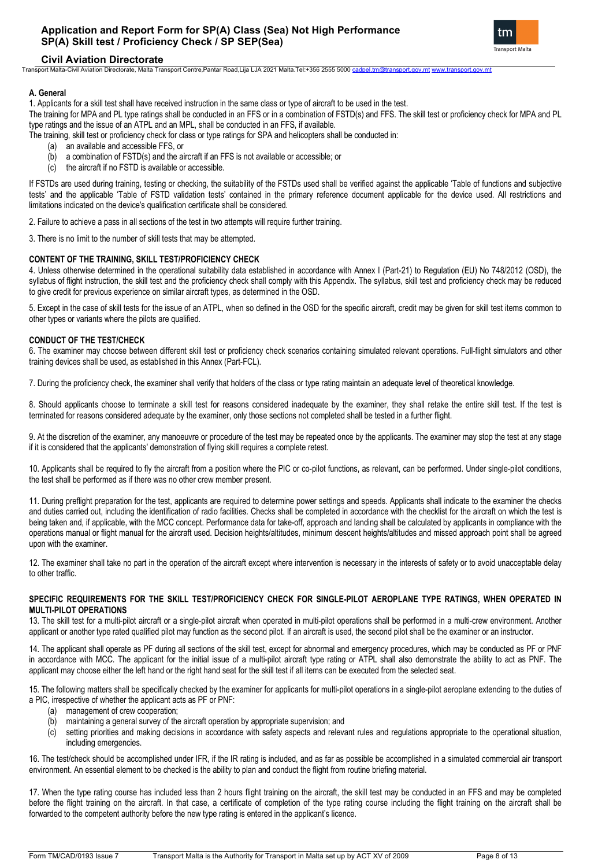

Transport Malta-Civil Aviation Directorate, Malta Transport Centre,Pantar Road,Lija LJA 2021 Malta.Tel:+356 2555 5000 [cadpel.tm@transport.gov.mt](mailto:cadpel.tm@transport.gov.mt) [www.transport.gov.mt](http://www.transport.gov.mt/)

#### **A. General**

1. Applicants for a skill test shall have received instruction in the same class or type of aircraft to be used in the test.

The training for MPA and PL type ratings shall be conducted in an FFS or in a combination of FSTD(s) and FFS. The skill test or proficiency check for MPA and PL type ratings and the issue of an ATPL and an MPL, shall be conducted in an FFS, if available.

The training, skill test or proficiency check for class or type ratings for SPA and helicopters shall be conducted in:

- (a) an available and accessible FFS, or
- (b) a combination of FSTD(s) and the aircraft if an FFS is not available or accessible; or
- (c) the aircraft if no FSTD is available or accessible.

If FSTDs are used during training, testing or checking, the suitability of the FSTDs used shall be verified against the applicable 'Table of functions and subjective tests' and the applicable 'Table of FSTD validation tests' contained in the primary reference document applicable for the device used. All restrictions and limitations indicated on the device's qualification certificate shall be considered.

2. Failure to achieve a pass in all sections of the test in two attempts will require further training.

3. There is no limit to the number of skill tests that may be attempted.

#### **CONTENT OF THE TRAINING, SKILL TEST/PROFICIENCY CHECK**

4. Unless otherwise determined in the operational suitability data established in accordance with Annex I (Part-21) to Regulation (EU) No 748/2012 (OSD), the syllabus of flight instruction, the skill test and the proficiency check shall comply with this Appendix. The syllabus, skill test and proficiency check may be reduced to give credit for previous experience on similar aircraft types, as determined in the OSD.

5. Except in the case of skill tests for the issue of an ATPL, when so defined in the OSD for the specific aircraft, credit may be given for skill test items common to other types or variants where the pilots are qualified.

#### **CONDUCT OF THE TEST/CHECK**

6. The examiner may choose between different skill test or proficiency check scenarios containing simulated relevant operations. Full-flight simulators and other training devices shall be used, as established in this Annex (Part-FCL).

7. During the proficiency check, the examiner shall verify that holders of the class or type rating maintain an adequate level of theoretical knowledge.

8. Should applicants choose to terminate a skill test for reasons considered inadequate by the examiner, they shall retake the entire skill test. If the test is terminated for reasons considered adequate by the examiner, only those sections not completed shall be tested in a further flight.

9. At the discretion of the examiner, any manoeuvre or procedure of the test may be repeated once by the applicants. The examiner may stop the test at any stage if it is considered that the applicants' demonstration of flying skill requires a complete retest.

10. Applicants shall be required to fly the aircraft from a position where the PIC or co-pilot functions, as relevant, can be performed. Under single-pilot conditions, the test shall be performed as if there was no other crew member present.

11. During preflight preparation for the test, applicants are required to determine power settings and speeds. Applicants shall indicate to the examiner the checks and duties carried out, including the identification of radio facilities. Checks shall be completed in accordance with the checklist for the aircraft on which the test is being taken and, if applicable, with the MCC concept. Performance data for take-off, approach and landing shall be calculated by applicants in compliance with the operations manual or flight manual for the aircraft used. Decision heights/altitudes, minimum descent heights/altitudes and missed approach point shall be agreed upon with the examiner.

12. The examiner shall take no part in the operation of the aircraft except where intervention is necessary in the interests of safety or to avoid unacceptable delay to other traffic.

#### **SPECIFIC REQUIREMENTS FOR THE SKILL TEST/PROFICIENCY CHECK FOR SINGLE-PILOT AEROPLANE TYPE RATINGS, WHEN OPERATED IN MULTI-PILOT OPERATIONS**

13. The skill test for a multi-pilot aircraft or a single-pilot aircraft when operated in multi-pilot operations shall be performed in a multi-crew environment. Another applicant or another type rated qualified pilot may function as the second pilot. If an aircraft is used, the second pilot shall be the examiner or an instructor.

14. The applicant shall operate as PF during all sections of the skill test, except for abnormal and emergency procedures, which may be conducted as PF or PNF in accordance with MCC. The applicant for the initial issue of a multi-pilot aircraft type rating or ATPL shall also demonstrate the ability to act as PNF. The applicant may choose either the left hand or the right hand seat for the skill test if all items can be executed from the selected seat.

15. The following matters shall be specifically checked by the examiner for applicants for multi-pilot operations in a single-pilot aeroplane extending to the duties of a PIC, irrespective of whether the applicant acts as PF or PNF:

- (a) management of crew cooperation;
- (b) maintaining a general survey of the aircraft operation by appropriate supervision; and
- (c) setting priorities and making decisions in accordance with safety aspects and relevant rules and regulations appropriate to the operational situation, including emergencies.

16. The test/check should be accomplished under IFR, if the IR rating is included, and as far as possible be accomplished in a simulated commercial air transport environment. An essential element to be checked is the ability to plan and conduct the flight from routine briefing material.

17. When the type rating course has included less than 2 hours flight training on the aircraft, the skill test may be conducted in an FFS and may be completed before the flight training on the aircraft. In that case, a certificate of completion of the type rating course including the flight training on the aircraft shall be forwarded to the competent authority before the new type rating is entered in the applicant's licence.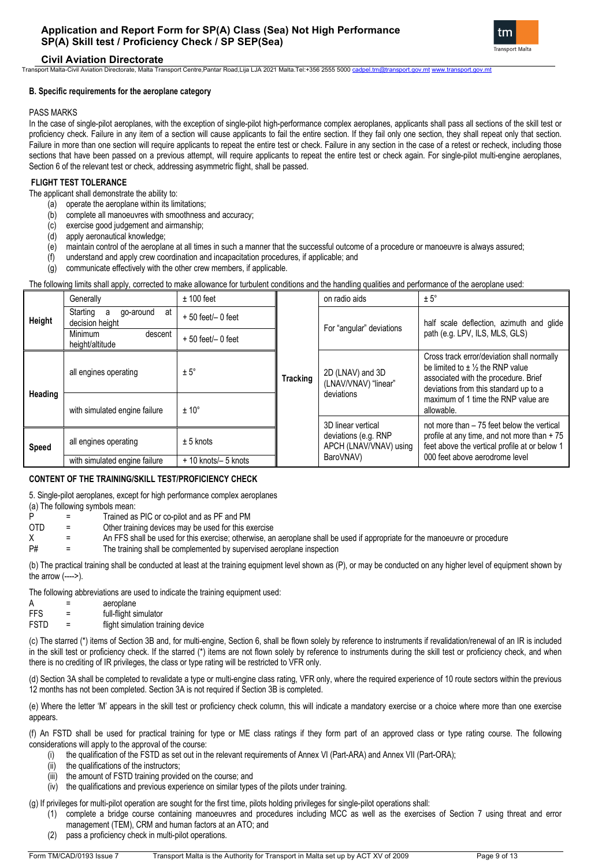## **Application and Report Form for SP(A) Class (Sea) Not High Performance SP(A) Skill test / Proficiency Check / SP SEP(Sea)**



**Civil Aviation Directorate**

Transport Malta-Civil Aviation Directorate, Malta Transport Centre,Pantar Road,Lija LJA 2021 Malta.Tel:+356 2555 5000 [cadpel.tm@transport.gov.mt](mailto:cadpel.tm@transport.gov.mt) [www.transport.gov.mt](http://www.transport.gov.mt/)

#### **B. Specific requirements for the aeroplane category**

#### PASS MARKS

In the case of single-pilot aeroplanes, with the exception of single-pilot high-performance complex aeroplanes, applicants shall pass all sections of the skill test or proficiency check. Failure in any item of a section will cause applicants to fail the entire section. If they fail only one section, they shall repeat only that section. Failure in more than one section will require applicants to repeat the entire test or check. Failure in any section in the case of a retest or recheck, including those sections that have been passed on a previous attempt, will require applicants to repeat the entire test or check again. For single-pilot multi-engine aeroplanes, Section 6 of the relevant test or check, addressing asymmetric flight, shall be passed.

#### **FLIGHT TEST TOLERANCE**

The applicant shall demonstrate the ability to:

- (a) operate the aeroplane within its limitations;
- (b) complete all manoeuvres with smoothness and accuracy;
- (c) exercise good judgement and airmanship; (d) apply aeronautical knowledge;
- (e) maintain control of the aeroplane at all times in such a manner that the successful outcome of a procedure or manoeuvre is always assured;
- (f) understand and apply crew coordination and incapacitation procedures, if applicable; and
- (g) communicate effectively with the other crew members, if applicable.

#### The following limits shall apply, corrected to make allowance for turbulent conditions and the handling qualities and performance of the aeroplane used:

|         | Generally                                           | $± 100$ feet          |          | on radio aids                                  | $± 5^\circ$                                                                                                                                                                                                                           |  |
|---------|-----------------------------------------------------|-----------------------|----------|------------------------------------------------|---------------------------------------------------------------------------------------------------------------------------------------------------------------------------------------------------------------------------------------|--|
| Height  | Starting<br>go-around<br>at<br>a<br>decision height | $+50$ feet/ $-0$ feet |          | For "angular" deviations                       | half scale deflection, azimuth and glide<br>path (e.g. LPV, ILS, MLS, GLS)                                                                                                                                                            |  |
|         | Minimum<br>descent<br>height/altitude               | $+50$ feet/ $-0$ feet |          |                                                |                                                                                                                                                                                                                                       |  |
| Heading | all engines operating                               | $± 5^\circ$           | Tracking | 2D (LNAV) and 3D<br>(LNAV/VNAV) "linear"       | Cross track error/deviation shall normally<br>be limited to $\pm$ 1/ <sub>2</sub> the RNP value<br>associated with the procedure. Brief<br>deviations from this standard up to a<br>maximum of 1 time the RNP value are<br>allowable. |  |
|         | with simulated engine failure                       | $± 10^{\circ}$        |          | deviations                                     |                                                                                                                                                                                                                                       |  |
|         |                                                     |                       |          | 3D linear vertical                             | not more than – 75 feet below the vertical                                                                                                                                                                                            |  |
| Speed   | all engines operating                               | $± 5$ knots           |          | deviations (e.g. RNP<br>APCH (LNAV/VNAV) using | profile at any time, and not more than $+75$<br>feet above the vertical profile at or below 1                                                                                                                                         |  |
|         | with simulated engine failure                       | + 10 knots/- 5 knots  |          | BaroVNAV)                                      | 000 feet above aerodrome level                                                                                                                                                                                                        |  |

#### **CONTENT OF THE TRAINING/SKILL TEST/PROFICIENCY CHECK**

5. Single-pilot aeroplanes, except for high performance complex aeroplanes (a) The following symbols mean:

P = Trained as PIC or co-pilot and as PF and PM

- OTD = Other training devices may be used for this exercise<br>
X = An FFS shall be used for this exercise: otherwise. are X = An FFS shall be used for this exercise; otherwise, an aeroplane shall be used if appropriate for the manoeuvre or procedure<br>P# = The training shall be complemented by supervised aeroplane inspection
- The training shall be complemented by supervised aeroplane inspection

(b) The practical training shall be conducted at least at the training equipment level shown as (P), or may be conducted on any higher level of equipment shown by the arrow  $(---)$ .

The following abbreviations are used to indicate the training equipment used:

| Α           |   | aeroplane                         |
|-------------|---|-----------------------------------|
| <b>FFS</b>  | = | full-flight simulator             |
| <b>FSTD</b> |   | flight simulation training device |

(c) The starred (\*) items of Section 3B and, for multi-engine, Section 6, shall be flown solely by reference to instruments if revalidation/renewal of an IR is included in the skill test or proficiency check. If the starred (\*) items are not flown solely by reference to instruments during the skill test or proficiency check, and when there is no crediting of IR privileges, the class or type rating will be restricted to VFR only.

(d) Section 3A shall be completed to revalidate a type or multi-engine class rating, VFR only, where the required experience of 10 route sectors within the previous 12 months has not been completed. Section 3A is not required if Section 3B is completed.

(e) Where the letter 'M' appears in the skill test or proficiency check column, this will indicate a mandatory exercise or a choice where more than one exercise appears.

(f) An FSTD shall be used for practical training for type or ME class ratings if they form part of an approved class or type rating course. The following considerations will apply to the approval of the course:

- the qualification of the FSTD as set out in the relevant requirements of Annex VI (Part-ARA) and Annex VII (Part-ORA);
- (ii) the qualifications of the instructors;
- the amount of FSTD training provided on the course; and
- (iv) the qualifications and previous experience on similar types of the pilots under training.

(g) If privileges for multi-pilot operation are sought for the first time, pilots holding privileges for single-pilot operations shall:

- (1) complete a bridge course containing manoeuvres and procedures including MCC as well as the exercises of Section 7 using threat and error management (TEM), CRM and human factors at an ATO; and
- (2) pass a proficiency check in multi-pilot operations.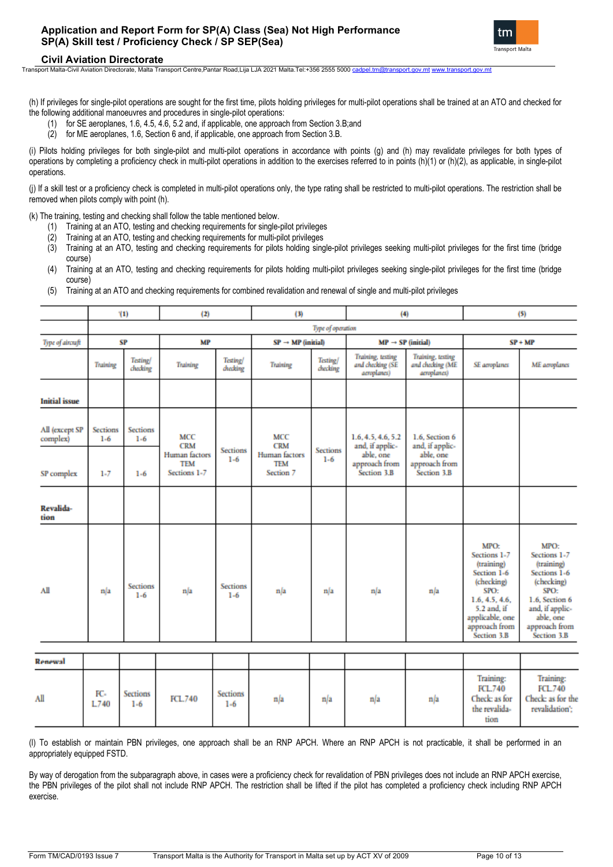

Transport Malta-Civil Aviation Directorate, Malta Transport Centre,Pantar Road,Lija LJA 2021 Malta.Tel:+356 2555 5000 [cadpel.tm@transport.gov.mt](mailto:cadpel.tm@transport.gov.mt) [www.transport.gov.mt](http://www.transport.gov.mt/)

(h) If privileges for single-pilot operations are sought for the first time, pilots holding privileges for multi-pilot operations shall be trained at an ATO and checked for the following additional manoeuvres and procedures in single-pilot operations:

- (1) for SE aeroplanes, 1.6, 4.5, 4.6, 5.2 and, if applicable, one approach from Section 3.B;and
- (2) for ME aeroplanes, 1.6, Section 6 and, if applicable, one approach from Section 3.B.

(i) Pilots holding privileges for both single-pilot and multi-pilot operations in accordance with points (g) and (h) may revalidate privileges for both types of operations by completing a proficiency check in multi-pilot operations in addition to the exercises referred to in points (h)(1) or (h)(2), as applicable, in single-pilot operations.

(j) If a skill test or a proficiency check is completed in multi-pilot operations only, the type rating shall be restricted to multi-pilot operations. The restriction shall be removed when pilots comply with point (h).

(k) The training, testing and checking shall follow the table mentioned below.

- Training at an ATO, testing and checking requirements for single-pilot privileges
- (2) Training at an ATO, testing and checking requirements for multi-pilot privileges
- (3) Training at an ATO, testing and checking requirements for pilots holding single-pilot privileges seeking multi-pilot privileges for the first time (bridge course)
- (4) Training at an ATO, testing and checking requirements for pilots holding multi-pilot privileges seeking single-pilot privileges for the first time (bridge course)
- (5) Training at an ATO and checking requirements for combined revalidation and renewal of single and multi-pilot privileges

|                            |                     | (1)                         | (2)                                                |                            | (3)                                             |                             | (4)                                                  |                                                      |                                                                                                                                                                    | (5)                                                                                                                                                        |
|----------------------------|---------------------|-----------------------------|----------------------------------------------------|----------------------------|-------------------------------------------------|-----------------------------|------------------------------------------------------|------------------------------------------------------|--------------------------------------------------------------------------------------------------------------------------------------------------------------------|------------------------------------------------------------------------------------------------------------------------------------------------------------|
|                            |                     | Type of operation           |                                                    |                            |                                                 |                             |                                                      |                                                      |                                                                                                                                                                    |                                                                                                                                                            |
| Type of aircraft           |                     | SP                          | <b>MP</b>                                          |                            | $SP \rightarrow MP$ (initial)                   |                             | $MP \rightarrow SP$ (initial)                        |                                                      |                                                                                                                                                                    | $SP + MP$                                                                                                                                                  |
|                            | <b>Training</b>     | <b>Testing/</b><br>checking | <b>Training</b>                                    | <b>Testing</b><br>diccking | <b>Training</b>                                 | <b>Testing/</b><br>checking | Training, testing<br>and checking (SE<br>aeroplanes) | Training, testing<br>and checking (ME<br>aeroplanes) | SE aeroplanes                                                                                                                                                      | <b>ME</b> aeroplanes                                                                                                                                       |
| <b>Initial</b> issue       |                     |                             |                                                    |                            |                                                 |                             |                                                      |                                                      |                                                                                                                                                                    |                                                                                                                                                            |
| All (except SP<br>complex) | Sections<br>$1 - 6$ | <b>Sections</b><br>$1 - 6$  | <b>MCC</b><br><b>CRM</b>                           | <b>Sections</b>            | MCC<br><b>CRM</b>                               | <b>Sections</b>             | 1.6.4.5.4.6.5.2<br>and, if applic-                   | 1.6. Section 6<br>and, if applic-                    |                                                                                                                                                                    |                                                                                                                                                            |
| SP complex                 | $1 - 7$             | $1 - 6$                     | <b>Human</b> factors<br><b>TEM</b><br>Sections 1-7 | $1 - 6$                    | <b>Human</b> factors<br><b>TEM</b><br>Section 7 | $1 - 6$                     | able, one<br>approach from<br>Section 3.B            | able, one<br>approach from<br>Section 3.B            |                                                                                                                                                                    |                                                                                                                                                            |
| Revalida-<br>tion          |                     |                             |                                                    |                            |                                                 |                             |                                                      |                                                      |                                                                                                                                                                    |                                                                                                                                                            |
| All                        | n/a                 | <b>Sections</b><br>$1 - 6$  | n/a                                                | <b>Sections</b><br>$1 - 6$ | n/a                                             | n/a                         | n/a                                                  | n/a                                                  | <b>MPO:</b><br>Sections 1-7<br>(training)<br>Section 1-6<br>(checking)<br>SPO:<br>1.6, 4.5, 4.6.<br>5.2 and, if<br>applicable, one<br>approach from<br>Section 3.B | MPO:<br>Sections 1-7<br>(training)<br>Sections 1-6<br>(checking)<br>SPO:<br>1.6. Section 6<br>and, if applic-<br>able, one<br>approach from<br>Section 3.B |
| tenewal                    |                     |                             |                                                    |                            |                                                 |                             |                                                      |                                                      |                                                                                                                                                                    |                                                                                                                                                            |
| ١I                         | FC-<br>L740         | <b>Sections</b><br>$1-6$    | FCL.740                                            | Sections<br>$1 - 6$        | n/a                                             | n/a                         | n/a                                                  | n/a                                                  | Training:<br><b>FCL.740</b><br>Check: as for<br>the revalida-<br>tion                                                                                              | Training:<br><b>FCL740</b><br>Check: as for the<br>revalidation':                                                                                          |

(l) To establish or maintain PBN privileges, one approach shall be an RNP APCH. Where an RNP APCH is not practicable, it shall be performed in an appropriately equipped FSTD.

By way of derogation from the subparagraph above, in cases were a proficiency check for revalidation of PBN privileges does not include an RNP APCH exercise, the PBN privileges of the pilot shall not include RNP APCH. The restriction shall be lifted if the pilot has completed a proficiency check including RNP APCH exercise.

Ï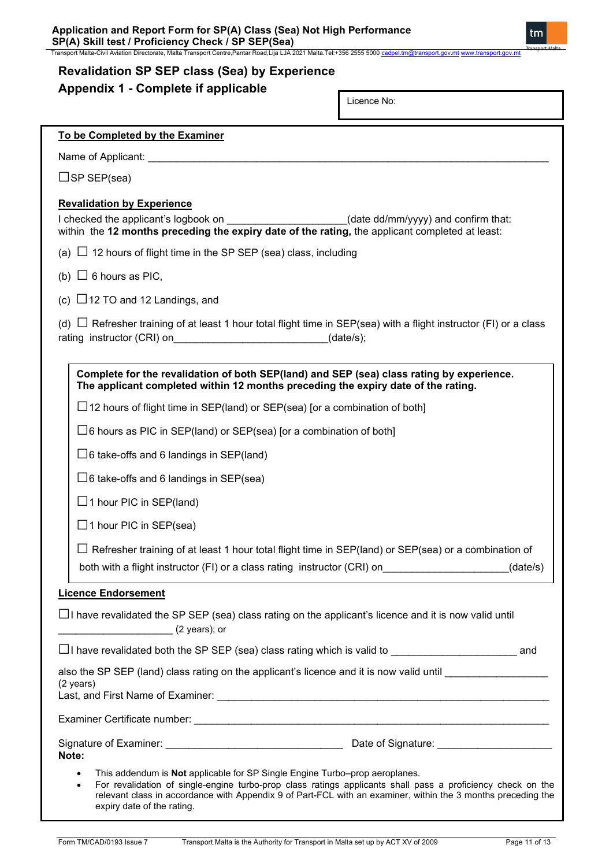Transport Malta-Civil Aviation Directorate, Malta Transport Centre,Pantar Road,Lija LJA 2021 Malta.Tel:+356 2555 5000 <u>[cadpel.tm@transport.gov.mt](mailto:cadpel.tm@transport.gov.mt) [www.transport.gov.mt](http://www.transport.gov.mt/)</u>

# **Appendix 1 - Complete if applicable**

| Licence No:                                                                                                                                                                                                                                                                                                                                                           |
|-----------------------------------------------------------------------------------------------------------------------------------------------------------------------------------------------------------------------------------------------------------------------------------------------------------------------------------------------------------------------|
| To be Completed by the Examiner                                                                                                                                                                                                                                                                                                                                       |
| Name of Applicant: Name of Applicant:                                                                                                                                                                                                                                                                                                                                 |
| $\square$ SP SEP(sea)                                                                                                                                                                                                                                                                                                                                                 |
| <b>Revalidation by Experience</b><br>I checked the applicant's logbook on ______________________(date dd/mm/yyyy) and confirm that:<br>within the 12 months preceding the expiry date of the rating, the applicant completed at least:                                                                                                                                |
| (a) $\Box$ 12 hours of flight time in the SP SEP (sea) class, including                                                                                                                                                                                                                                                                                               |
| (b) $\Box$ 6 hours as PIC,                                                                                                                                                                                                                                                                                                                                            |
| (c) $\Box$ 12 TO and 12 Landings, and                                                                                                                                                                                                                                                                                                                                 |
| (d) $\Box$ Refresher training of at least 1 hour total flight time in SEP(sea) with a flight instructor (FI) or a class<br>rating instructor (CRI) on the state of the state of the state of the state of the state of the state of the state of the state of the state of the state of the state of the state of the state of the state of the state of<br>(data/s); |
| Complete for the revalidation of both SEP(land) and SEP (sea) class rating by experience.<br>The applicant completed within 12 months preceding the expiry date of the rating.                                                                                                                                                                                        |
| $\Box$ 12 hours of flight time in SEP(land) or SEP(sea) [or a combination of both]                                                                                                                                                                                                                                                                                    |
| $\square$ 6 hours as PIC in SEP(land) or SEP(sea) [or a combination of both]                                                                                                                                                                                                                                                                                          |
| $\Box$ 6 take-offs and 6 landings in SEP(land)                                                                                                                                                                                                                                                                                                                        |
| $\Box$ 6 take-offs and 6 landings in SEP(sea)                                                                                                                                                                                                                                                                                                                         |
| $\Box$ 1 hour PIC in SEP(land)                                                                                                                                                                                                                                                                                                                                        |
| $\Box$ 1 hour PIC in SEP(sea)                                                                                                                                                                                                                                                                                                                                         |
| Refresher training of at least 1 hour total flight time in SEP(land) or SEP(sea) or a combination of                                                                                                                                                                                                                                                                  |
| both with a flight instructor (FI) or a class rating instructor (CRI) on<br>(data/s)                                                                                                                                                                                                                                                                                  |
| <b>Licence Endorsement</b>                                                                                                                                                                                                                                                                                                                                            |
| $\Box$ I have revalidated the SP SEP (sea) class rating on the applicant's licence and it is now valid until<br>$(2 \text{ years});$ or                                                                                                                                                                                                                               |
|                                                                                                                                                                                                                                                                                                                                                                       |
| also the SP SEP (land) class rating on the applicant's licence and it is now valid until<br>(2 years)                                                                                                                                                                                                                                                                 |
|                                                                                                                                                                                                                                                                                                                                                                       |
| Note:                                                                                                                                                                                                                                                                                                                                                                 |
| This addendum is Not applicable for SP Single Engine Turbo-prop aeroplanes.<br>٠<br>For revalidation of single-engine turbo-prop class ratings applicants shall pass a proficiency check on the<br>٠<br>relevant class in accordance with Appendix 9 of Part-FCL with an examiner, within the 3 months preceding the<br>expiry date of the rating.                    |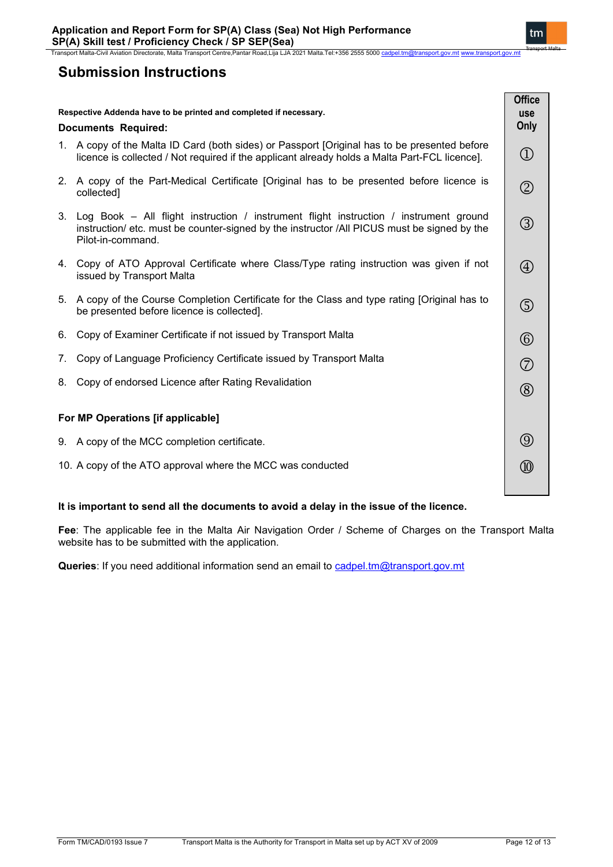# **Submission Instructions**

| Respective Addenda have to be printed and completed if necessary.<br><b>Documents Required:</b> |                                                                                                                                                                                                              | <b>Office</b><br><b>use</b><br>Only |
|-------------------------------------------------------------------------------------------------|--------------------------------------------------------------------------------------------------------------------------------------------------------------------------------------------------------------|-------------------------------------|
|                                                                                                 | 1. A copy of the Malta ID Card (both sides) or Passport [Original has to be presented before<br>licence is collected / Not required if the applicant already holds a Malta Part-FCL licence].                | $\textcircled{1}$                   |
|                                                                                                 | 2. A copy of the Part-Medical Certificate [Original has to be presented before licence is<br>collected]                                                                                                      | $^{\circledR}$                      |
|                                                                                                 | 3. Log Book - All flight instruction / instrument flight instruction / instrument ground<br>instruction/ etc. must be counter-signed by the instructor /All PICUS must be signed by the<br>Pilot-in-command. | $\circled{3}$                       |
|                                                                                                 | 4. Copy of ATO Approval Certificate where Class/Type rating instruction was given if not<br>issued by Transport Malta                                                                                        | $\bigcircled{4}$                    |
|                                                                                                 | 5. A copy of the Course Completion Certificate for the Class and type rating [Original has to<br>be presented before licence is collected].                                                                  | $\circledS$                         |
| 6.                                                                                              | Copy of Examiner Certificate if not issued by Transport Malta                                                                                                                                                | $\circledcirc$                      |
| 7.                                                                                              | Copy of Language Proficiency Certificate issued by Transport Malta                                                                                                                                           | $\circled{2}$                       |
| 8.                                                                                              | Copy of endorsed Licence after Rating Revalidation                                                                                                                                                           | $\circledR$                         |
| For MP Operations [if applicable]                                                               |                                                                                                                                                                                                              |                                     |
|                                                                                                 | 9. A copy of the MCC completion certificate.                                                                                                                                                                 | $\circled{0}$                       |
|                                                                                                 | 10. A copy of the ATO approval where the MCC was conducted                                                                                                                                                   | $\circledR$                         |

## **It is important to send all the documents to avoid a delay in the issue of the licence.**

**Fee**: The applicable fee in the Malta Air Navigation Order / Scheme of Charges on the Transport Malta website has to be submitted with the application.

Queries: If you need additional information send an email to [cadpel.tm@transport.gov.mt](mailto:cadpel.tm@transport.gov.mt)